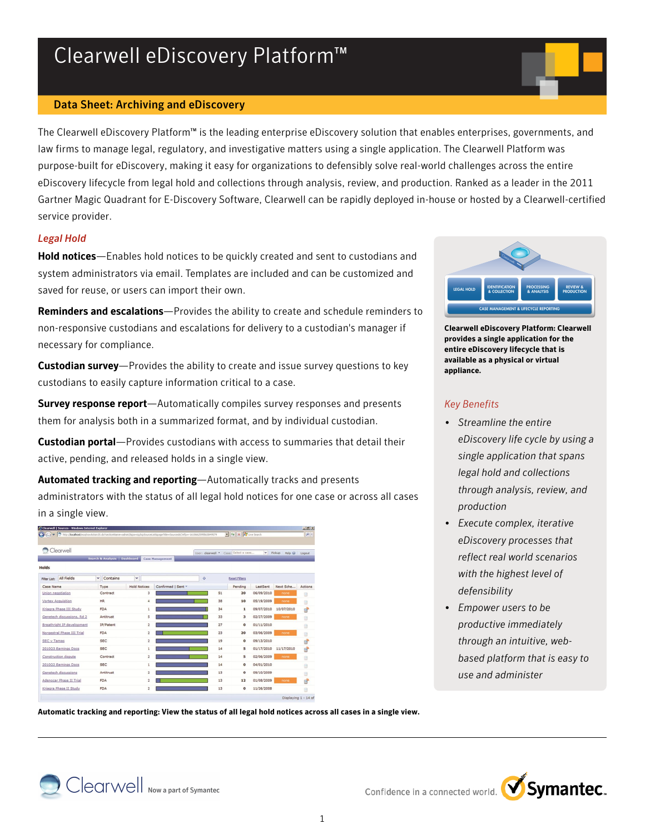# Clearwell eDiscovery Platform™

#### Data Sheet: Archiving and eDiscovery

The Clearwell eDiscovery Platform™ is the leading enterprise eDiscovery solution that enables enterprises, governments, and law firms to manage legal, regulatory, and investigative matters using a single application. The Clearwell Platform was purpose-built for eDiscovery, making it easy for organizations to defensibly solve real-world challenges across the entire eDiscovery lifecycle from legal hold and collections through analysis, review, and production. Ranked as a leader in the 2011 Gartner Magic Quadrant for E-Discovery Software, Clearwell can be rapidly deployed in-house or hosted by a Clearwell-certified service provider.

#### *Legal Hold*

Hold notices—Enables hold notices to be quickly created and sent to custodians and system administrators via email. Templates are included and can be customized and saved for reuse, or users can import their own.

Reminders and escalations—Provides the ability to create and schedule reminders to non-responsive custodians and escalations for delivery to a custodian's manager if necessary for compliance.

**Custodian survey**—Provides the ability to create and issue survey questions to key custodians to easily capture information critical to a case.

Survey response report-Automatically compiles survey responses and presents them for analysis both in a summarized format, and by individual custodian.

Custodian portal-Provides custodians with access to summaries that detail their active, pending, and released holds in a single view.

Automated tracking and reporting-Automatically tracks and presents administrators with the status of all legal hold notices for one case or across all cases in a single view.

| →→→→→→→Bittp://localhost/esqlnavAction/5.do?sectionName=admin28pa=icp/icpSourceList8pageTitle=Sources8CWfp=-1618662595563849579 |                                          |                     |                         |                        |    | v 4 X A Live Search                   |            |             | $\alpha$ . |
|---------------------------------------------------------------------------------------------------------------------------------|------------------------------------------|---------------------|-------------------------|------------------------|----|---------------------------------------|------------|-------------|------------|
|                                                                                                                                 |                                          |                     |                         |                        |    |                                       |            |             |            |
| Clearwell                                                                                                                       |                                          |                     |                         |                        |    | User: clearwell . Case: Select a case | $\vee$     | Pickup Help |            |
|                                                                                                                                 | <b>Search &amp; Analysis   Dashboard</b> |                     |                         | <b>Case Management</b> |    |                                       |            |             | Logout     |
| <b>Holds</b>                                                                                                                    |                                          |                     |                         |                        |    |                                       |            |             |            |
| <b>All Fields</b><br>Filter List:                                                                                               | Contains<br>$\checkmark$                 | v                   |                         | $\ddot{\text{o}}$      |    | <b>Reset Filters</b>                  |            |             |            |
| Case Name                                                                                                                       | Type                                     | <b>Hold Notices</b> |                         | Confirmed   Sent *     |    | Pending                               | LastSent   | Next Sche   | Actions    |
| Union negotiation                                                                                                               | Contract                                 |                     | 3                       |                        | 51 | 20                                    | 06/09/2010 | none        | 日          |
| Vortex Acquisition                                                                                                              | <b>HR</b>                                |                     | 4                       |                        | 38 | 10                                    | 05/19/2009 | none        | 日          |
| Kriagra Phase III Study                                                                                                         | FDA                                      |                     | 1                       |                        | 34 | $\mathbf{1}$                          | 09/07/2010 | 10/07/2010  | EP.        |
| Genetech discussions, Rd 2                                                                                                      | Antitrust                                |                     | 5                       |                        | 33 | 3                                     | 02/27/2009 | none        | 自          |
| Breathright IP development                                                                                                      | IP/Patent                                |                     | $\overline{2}$          |                        | 27 | $\Omega$                              | 01/11/2010 |             | B          |
| Norgestral Phase III Trial                                                                                                      | <b>FDA</b>                               |                     | $\overline{2}$          |                        | 23 | 20                                    | 03/06/2009 | none        | 日          |
| <b>SEC v Tamas</b>                                                                                                              | <b>SEC</b>                               |                     | $\overline{\mathbf{c}}$ |                        | 19 | $\mathbf{o}$                          | 09/13/2010 |             | 曾          |
| 2010Q3 Earnings Docs                                                                                                            | <b>SEC</b>                               |                     | 1                       |                        | 14 | s                                     | 01/17/2010 | 11/17/2010  | EP.        |
| Construction dispute                                                                                                            | Contract                                 |                     | $\overline{\mathbf{c}}$ |                        | 14 | s                                     | 02/06/2009 | none        | 日          |
| 2010Q2 Earnings Docs                                                                                                            | <b>SEC</b>                               |                     | 1                       |                        | 14 | $\circ$                               | 04/01/2010 |             | 8          |
| Genetech discussions                                                                                                            | Antitrust                                |                     | $\overline{\mathbf{2}}$ |                        | 13 | $\mathbf{o}$                          | 09/10/2009 |             | B          |
| Adenocar Phase II Trial                                                                                                         | <b>FDA</b>                               |                     | $\overline{\mathbf{c}}$ |                        | 13 | 12                                    | 01/08/2009 | none        | 曾          |
| Kriagra Phase II Study                                                                                                          | <b>FDA</b>                               |                     | $\overline{\mathbf{2}}$ |                        | 13 | $\mathbf o$                           | 11/26/2008 |             | e          |



**Clearwell eDiscovery Platform: Clearwell provides a single application for the entire eDiscovery lifecycle that is available as a physical or virtual appliance.**

# *Key Benefits*

- *Streamline the entire eDiscovery life cycle by using a single application that spans legal hold and collections through analysis, review, and production*
- *Execute complex, iterative eDiscovery processes that reflect real world scenarios with the highest level of defensibility*
- *Empower users to be productive immediately through an intuitive, webbased platform that is easy to use and administer*

**Automatic tracking and reporting: View the status of all legal hold notices across all cases in a single view.**

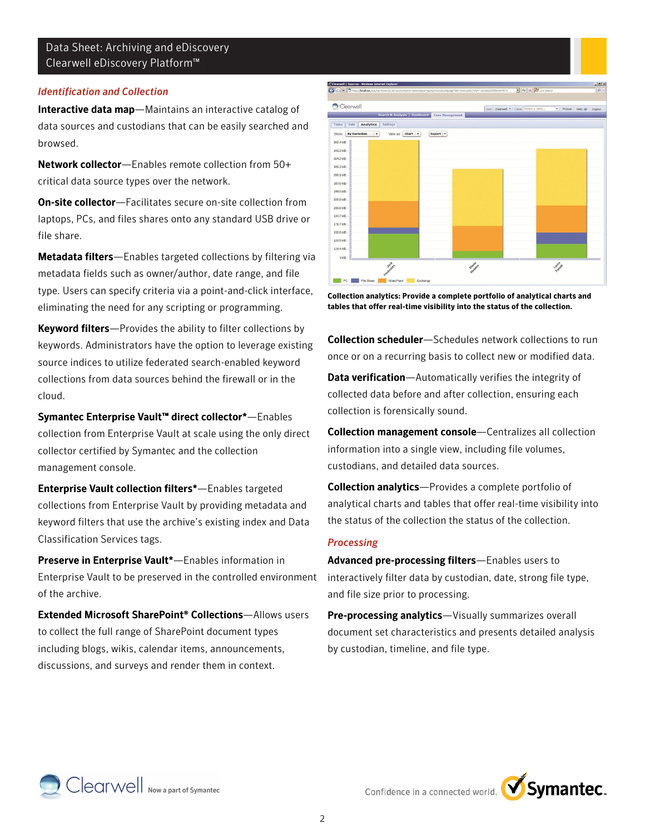#### *Identification and Collection*

Interactive data map—Maintains an interactive catalog of data sources and custodians that can be easily searched and browsed.

Network collector—Enables remote collection from 50+ critical data source types over the network.

On-site collector—Facilitates secure on-site collection from laptops, PCs, and files shares onto any standard USB drive or file share.

Metadata filters—Enables targeted collections by filtering via metadata fields such as owner/author, date range, and file type. Users can specify criteria via a point-and-click interface, eliminating the need for any scripting or programming.

Keyword filters—Provides the ability to filter collections by keywords. Administrators have the option to leverage existing source indices to utilize federated search-enabled keyword collections from data sources behind the firewall or in the cloud.

Symantec Enterprise Vault™ direct collector\*—Enables collection from Enterprise Vault at scale using the only direct collector certified by Symantec and the collection management console.

Enterprise Vault collection filters\*—Enables targeted collections from Enterprise Vault by providing metadata and keyword filters that use the archive's existing index and Data Classification Services tags.

Preserve in Enterprise Vault\*—Enables information in Enterprise Vault to be preserved in the controlled environment of the archive.

Extended Microsoft SharePoint® Collections—Allows users to collect the full range of SharePoint document types including blogs, wikis, calendar items, announcements, discussions, and surveys and render them in context.



**Collection analytics: Provide a complete portfolio of analytical charts and tables that offer real-time visibility into the status of the collection.**

Collection scheduler-Schedules network collections to run once or on a recurring basis to collect new or modified data.

Data verification—Automatically verifies the integrity of collected data before and after collection, ensuring each collection is forensically sound.

Collection management console—Centralizes all collection information into a single view, including file volumes, custodians, and detailed data sources.

Collection analytics—Provides a complete portfolio of analytical charts and tables that offer real-time visibility into the status of the collection the status of the collection.

#### *Processing*

Advanced pre-processing filters—Enables users to interactively filter data by custodian, date, strong file type, and file size prior to processing.

Pre-processing analytics-Visually summarizes overall document set characteristics and presents detailed analysis by custodian, timeline, and file type.



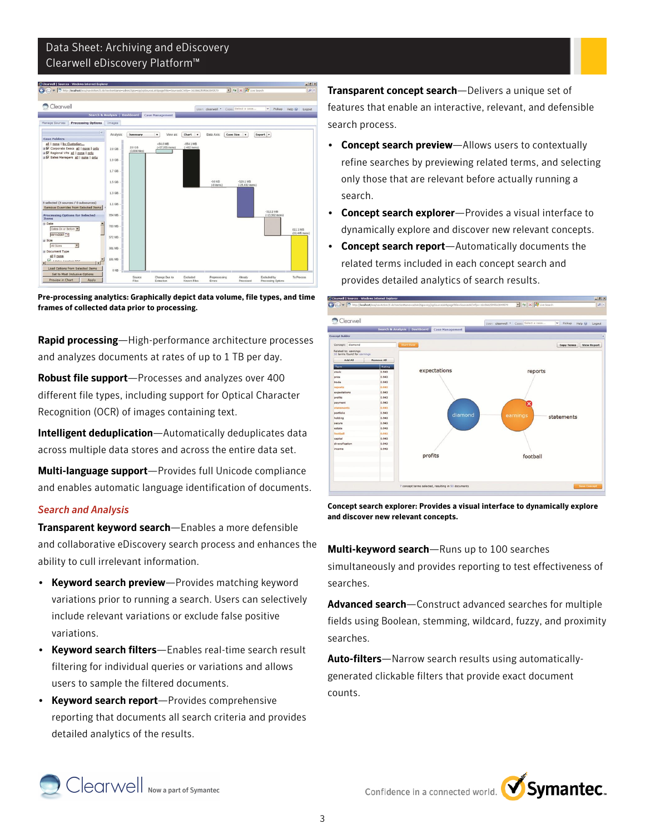

**Pre-processing analytics: Graphically depict data volume, file types, and time frames of collected data prior to processing.**

Rapid processing—High-performance architecture processes and analyzes documents at rates of up to 1 TB per day.

Robust file support—Processes and analyzes over 400 different file types, including support for Optical Character Recognition (OCR) of images containing text.

Intelligent deduplication—Automatically deduplicates data across multiple data stores and across the entire data set.

Multi-language support—Provides full Unicode compliance and enables automatic language identification of documents.

# *Search and Analysis*

Transparent keyword search—Enables a more defensible and collaborative eDiscovery search process and enhances the ability to cull irrelevant information.

- Keyword search preview—Provides matching keyword variations prior to running a search. Users can selectively include relevant variations or exclude false positive variations.
- Keyword search filters-Enables real-time search result filtering for individual queries or variations and allows users to sample the filtered documents.
- Keyword search report—Provides comprehensive reporting that documents all search criteria and provides detailed analytics of the results.

Transparent concept search-Delivers a unique set of features that enable an interactive, relevant, and defensible search process.

- Concept search preview-Allows users to contextually refine searches by previewing related terms, and selecting only those that are relevant before actually running a search.
- **Concept search explorer**—Provides a visual interface to dynamically explore and discover new relevant concepts.
- Concept search report-Automatically documents the related terms included in each concept search and provides detailed analytics of search results.



**Concept search explorer: Provides a visual interface to dynamically explore and discover new relevant concepts.**

Multi-keyword search—Runs up to 100 searches simultaneously and provides reporting to test effectiveness of searches.

Advanced search-Construct advanced searches for multiple fields using Boolean, stemming, wildcard, fuzzy, and proximity searches.

Auto-filters-Narrow search results using automaticallygenerated clickable filters that provide exact document counts.



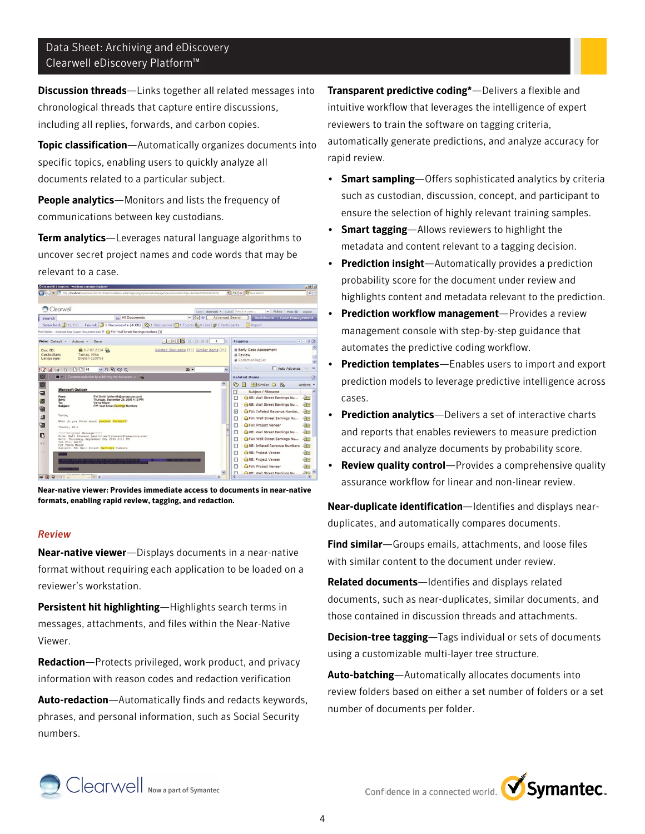Discussion threads—Links together all related messages into chronological threads that capture entire discussions, including all replies, forwards, and carbon copies.

Topic classification—Automatically organizes documents into specific topics, enabling users to quickly analyze all documents related to a particular subject.

People analytics—Monitors and lists the frequency of communications between key custodians.

Term analytics-Leverages natural language algorithms to uncover secret project names and code words that may be relevant to a case.

|                         |                              | C Clearwell   Sources - Windows Internet Explorer                                        |                                                                                                                        |                        |                                                      | $-0x$                             |
|-------------------------|------------------------------|------------------------------------------------------------------------------------------|------------------------------------------------------------------------------------------------------------------------|------------------------|------------------------------------------------------|-----------------------------------|
|                         |                              |                                                                                          | http://localhost/esa/navAction75.do?sectionName=admin26pa=icp/icp5ourceList8pageTitle=Sources8CWfp=1618662595563949579 |                        | $\bullet$ $\bullet$ $\times$ $\mathbb{Z}$ Uve Search | $\rho$ .                          |
|                         | Clearwell                    |                                                                                          |                                                                                                                        |                        | User: dearwell . Case: Select a case<br>$\check{~}$  | Pickup Help<br>Logout             |
| Search                  |                              | in All Documents                                                                         | $\mathbf{v}$ Go<br>$\theta$                                                                                            | <b>Advanced Search</b> |                                                      | Dashboard   Case Management       |
|                         | Searched: 12,156             |                                                                                          | Found: 1 Documents (4 KB) © 1 Discussions   1 Topics   1 0 Files   2 Participants                                      |                        | Report                                               |                                   |
|                         |                              | Find Similar - Analysis Use Case: Document List P @ FW: Wall Street Earnings Numbers [1] |                                                                                                                        |                        |                                                      |                                   |
|                         |                              | View: Default . Actions . Save                                                           | $F = F$ $F$ $G$ $O$ $N$ $4$                                                                                            |                        | Tagging                                              | $ +  -   0   0$                   |
| Doc ID:                 |                              | ■ 0.7.87.2124                                                                            | Related Discussion (15) Similar Items (21)                                                                             |                        | <b>Early Case Assessment</b>                         |                                   |
| Custodian:<br>Language: |                              | Tamas, Mike<br>English (100%)                                                            |                                                                                                                        |                        | <b>El Review</b>                                     |                                   |
|                         |                              |                                                                                          |                                                                                                                        |                        | <b>B</b> RedactionTagSet                             |                                   |
| $\overline{\mathbf{z}}$ | $A \cup$<br>$\triangleright$ | □ □ 74<br>$\vee$ 0 0 0 0 $\vee$                                                          | 当。                                                                                                                     | $\ddot{ }$             | Prev Next                                            | Auto Advance Tag<br>$\rightarrow$ |
| Ι×                      |                              | Complete redaction by publishing the document -> Con-                                    |                                                                                                                        |                        | <b>Related Items</b>                                 | 俋                                 |
| $\overline{\mathsf{x}}$ |                              |                                                                                          |                                                                                                                        | $\blacktriangle$       | ့<br><b>Pisimilar</b> C<br>僵<br>$\mathcal{R}$        | Actions *                         |
| 匐                       | <b>Microsoft Outlook</b>     |                                                                                          |                                                                                                                        |                        | Π<br>Subject / Filename                              | $\hat{\phantom{a}}$               |
|                         | From:<br>Sent:               | Phil Smith [philsmith@tamascorp.com]<br>Thursday, September 28, 2006 4:13 PM             |                                                                                                                        |                        | RE: Wall Street Earnings Nu                          | 7.019                             |
| 夜                       | To:<br>Subject:              | Vance Mayer<br>FW: Wall Street Earnings Numbers                                          |                                                                                                                        |                        | RE: Wall Street Earnings Nu<br>п                     | नेलेख                             |
| 部                       |                              |                                                                                          |                                                                                                                        |                        | FW: Inflated Revenue Numbe<br>$\overline{\vee}$      | 相同                                |
| 調                       | Vance,                       |                                                                                          |                                                                                                                        |                        | FW: Wall Street Earnings Nu                          | 相同                                |
| 図                       |                              | What do you think about project football?                                                |                                                                                                                        |                        | FW: Project Veneer                                   | 相同                                |
|                         | Thanks, Phil                 |                                                                                          |                                                                                                                        |                        | RE: Wall Street Earnings Nu                          | ABB                               |
| 眼                       |                              | ----- Original Message-----<br>From: Matt Stevens [mailto:mattstevens@tamascorp.com]     |                                                                                                                        |                        | п                                                    |                                   |
| <b>KO</b>               | To: Phil Smith               | Sent: Thursday, September 28, 2006 2:11 PM                                               |                                                                                                                        |                        | FW: Wall Street Earnings Nu<br>г                     | 小河里                               |
|                         | Co: Vance Mayer              | Subject: RE: Wall Street Earnings Numbers                                                |                                                                                                                        |                        | RE: Inflated Revenue Numbers                         | 相同                                |
| $\sqrt{2}$              |                              |                                                                                          |                                                                                                                        |                        | RE: Project Veneer                                   | िलिपि                             |
|                         |                              |                                                                                          |                                                                                                                        |                        | RE: Project Veneer<br>г                              | निल                               |
|                         |                              |                                                                                          |                                                                                                                        |                        | FW: Project Veneer<br>п                              | विज                               |
|                         |                              | Calminat Mananan                                                                         |                                                                                                                        |                        | <b>CaRF: Wall Street Farnings Nu</b><br>п            | $A$ dral $\vee$                   |
| 90 国 口                  | 1/1                          | $V$ ) <                                                                                  |                                                                                                                        | $\rightarrow$          |                                                      | $\rightarrow$                     |

**Near-native viewer: Provides immediate access to documents in near-native formats, enabling rapid review, tagging, and redaction.**

#### *Review*

Near-native viewer—Displays documents in a near-native format without requiring each application to be loaded on a reviewer's workstation.

Persistent hit highlighting-Highlights search terms in messages, attachments, and files within the Near-Native Viewer.

Redaction-Protects privileged, work product, and privacy information with reason codes and redaction verification

Auto-redaction-Automatically finds and redacts keywords, phrases, and personal information, such as Social Security numbers.

Transparent predictive coding\*—Delivers a flexible and intuitive workflow that leverages the intelligence of expert reviewers to train the software on tagging criteria, automatically generate predictions, and analyze accuracy for rapid review.

- Smart sampling-Offers sophisticated analytics by criteria such as custodian, discussion, concept, and participant to ensure the selection of highly relevant training samples.
- Smart tagging-Allows reviewers to highlight the metadata and content relevant to a tagging decision.
- Prediction insight-Automatically provides a prediction probability score for the document under review and highlights content and metadata relevant to the prediction.
- Prediction workflow management—Provides a review management console with step-by-step guidance that automates the predictive coding workflow.
- Prediction templates-Enables users to import and export prediction models to leverage predictive intelligence across cases.
- Prediction analytics-Delivers a set of interactive charts and reports that enables reviewers to measure prediction accuracy and analyze documents by probability score.
- **Review quality control**—Provides a comprehensive quality assurance workflow for linear and non-linear review.

Near-duplicate identification—Identifies and displays nearduplicates, and automatically compares documents.

Find similar-Groups emails, attachments, and loose files with similar content to the document under review.

Related documents—Identifies and displays related documents, such as near-duplicates, similar documents, and those contained in discussion threads and attachments.

Decision-tree tagging-Tags individual or sets of documents using a customizable multi-layer tree structure.

Auto-batching—Automatically allocates documents into review folders based on either a set number of folders or a set number of documents per folder.



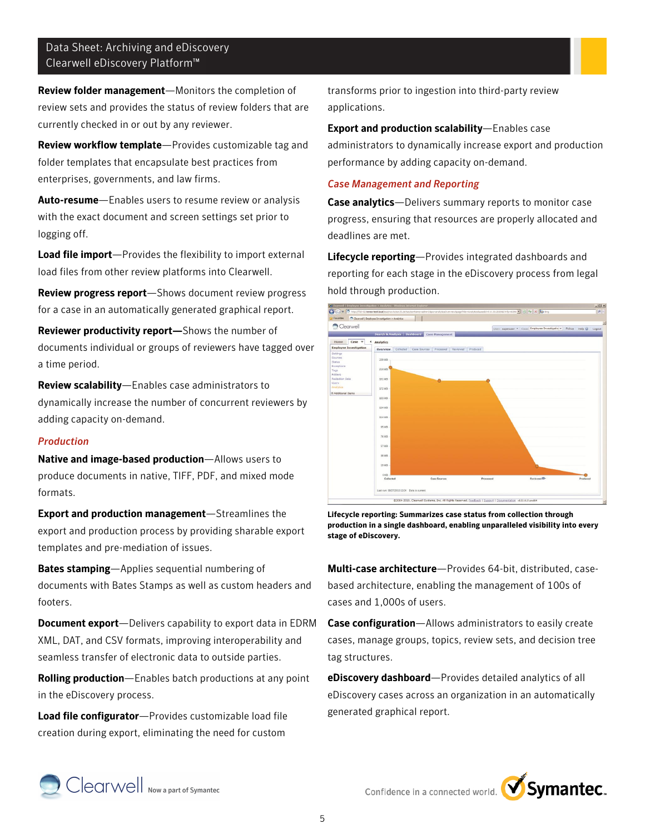Review folder management—Monitors the completion of review sets and provides the status of review folders that are currently checked in or out by any reviewer.

Review workflow template—Provides customizable tag and folder templates that encapsulate best practices from enterprises, governments, and law firms.

Auto-resume-Enables users to resume review or analysis with the exact document and screen settings set prior to logging off.

Load file import-Provides the flexibility to import external load files from other review platforms into Clearwell.

Review progress report—Shows document review progress for a case in an automatically generated graphical report.

Reviewer productivity report—Shows the number of documents individual or groups of reviewers have tagged over a time period.

Review scalability—Enables case administrators to dynamically increase the number of concurrent reviewers by adding capacity on-demand.

#### *Production*

Native and image-based production—Allows users to produce documents in native, TIFF, PDF, and mixed mode formats.

Export and production management—Streamlines the export and production process by providing sharable export templates and pre-mediation of issues.

Bates stamping—Applies sequential numbering of documents with Bates Stamps as well as custom headers and footers.

**Document export**—Delivers capability to export data in EDRM XML, DAT, and CSV formats, improving interoperability and seamless transfer of electronic data to outside parties.

Rolling production-Enables batch productions at any point in the eDiscovery process.

Load file configurator-Provides customizable load file creation during export, eliminating the need for custom

transforms prior to ingestion into third-party review applications.

Export and production scalability—Enables case administrators to dynamically increase export and production performance by adding capacity on-demand.

# *Case Management and Reporting*

Case analytics-Delivers summary reports to monitor case progress, ensuring that resources are properly allocated and deadlines are met.

Lifecycle reporting-Provides integrated dashboards and reporting for each stage in the eDiscovery process from legal hold through production.



**Lifecycle reporting: Summarizes case status from collection through production in a single dashboard, enabling unparalleled visibility into every stage of eDiscovery.**

Multi-case architecture—Provides 64-bit, distributed, casebased architecture, enabling the management of 100s of cases and 1,000s of users.

Case configuration-Allows administrators to easily create cases, manage groups, topics, review sets, and decision tree tag structures.

eDiscovery dashboard—Provides detailed analytics of all eDiscovery cases across an organization in an automatically generated graphical report.





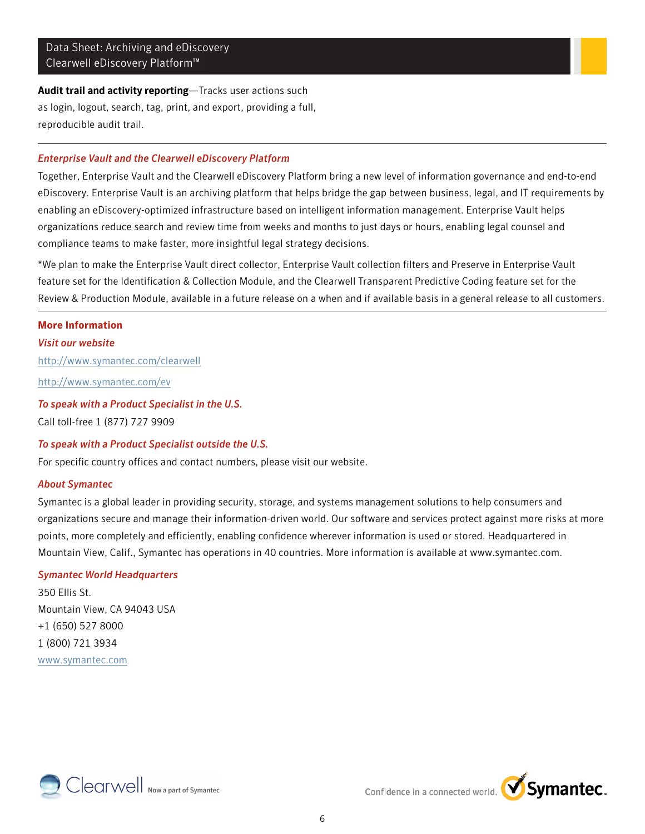# Audit trail and activity reporting-Tracks user actions such as login, logout, search, tag, print, and export, providing a full, reproducible audit trail.

# *Enterprise Vault and the Clearwell eDiscovery Platform*

Together, Enterprise Vault and the Clearwell eDiscovery Platform bring a new level of information governance and end-to-end eDiscovery. Enterprise Vault is an archiving platform that helps bridge the gap between business, legal, and IT requirements by enabling an eDiscovery-optimized infrastructure based on intelligent information management. Enterprise Vault helps organizations reduce search and review time from weeks and months to just days or hours, enabling legal counsel and compliance teams to make faster, more insightful legal strategy decisions.

\*We plan to make the Enterprise Vault direct collector, Enterprise Vault collection filters and Preserve in Enterprise Vault feature set for the Identification & Collection Module, and the Clearwell Transparent Predictive Coding feature set for the Review & Production Module, available in a future release on a when and if available basis in a general release to all customers.

#### **More Information**

# *Visit our website*

<http://www.symantec.com/clearwell>

<http://www.symantec.com/ev>

# *To speak with a Product Specialist in the U.S.*

Call toll-free 1 (877) 727 9909

# *To speak with a Product Specialist outside the U.S.*

For specific country offices and contact numbers, please visit our website.

# *About Symantec*

Symantec is a global leader in providing security, storage, and systems management solutions to help consumers and organizations secure and manage their information-driven world. Our software and services protect against more risks at more points, more completely and efficiently, enabling confidence wherever information is used or stored. Headquartered in Mountain View, Calif., Symantec has operations in 40 countries. More information is available at www.symantec.com.

# *Symantec World Headquarters*

350 Ellis St. Mountain View, CA 94043 USA +1 (650) 527 8000 1 (800) 721 3934 [www.symantec.com](http://www.symantec.com)